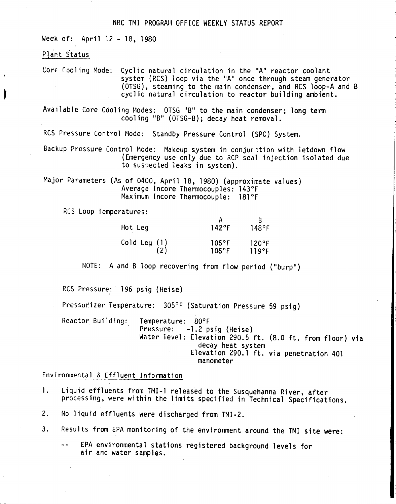## NRC TMI PROGRAM OFFICE WEEKLY STATUS REPORT

Week of: April 12 - 18, 1980

#### Plant Status

Core Cooling Mode: Cyclic natural circulation in the "A" reactor coolant system (RCS) loop via the "A" once through steam generator (OTSG), steaming to the main condenser, and RCS loop-A and B cyclic natural circulation to reactor building ambient.

Available Core Cooling Modes: OTSG "B" to the main condenser; long term cooling "B" (OTSG-B); decay heat removal.

RCS Pressure Control Mode: Standby Pressure Control (SPC) System,

Backup Pressure Control Mode: Makeup system in conjur :tion with letdown flow (Emergency use only due to RCP seal injection isolated due to suspected leaks in system).

Major Parameters (As of 0400, April 18, 1980) (approximate values) Average Incore Thermocouples: 143°F Maximum Incore Thermocouple: 181°F

RCS Loop Temperatures:

| Hot Leg      | 142°F           | 148°F |
|--------------|-----------------|-------|
| Cold Leg (1) | $105^{\circ}$ F | 120°F |
| (2)          | $105^{\circ}$ F | 119°F |

NOTE: A and B loop recovering from flow period ("burp")

RCS Pressure: 196 psig (Heise)

Pressurizer Temperature: 305°F (Saturation Pressure 59 psig)

Reactor Building: Temperature: 80°F -1.2 psig (Heise) Water level: Elevation 290.5 ft. (8.0 ft. from floor) via decay heat system Elevation 290.1 ft. via penetration 401 manometer

Environmental & Effluent Information

- 1. Liquid effluents from TMI-1 released to the Susquehanna River, after processing, were within the limits specified in Technical Specifications.
- 2. No liquid effluents were discharged from TMI-2.
- 3. Results from EPA monitoring of the environment around the TMI site were:
	- EPA environmental stations registered background levels for  $\sim$   $\sim$ air and water samples.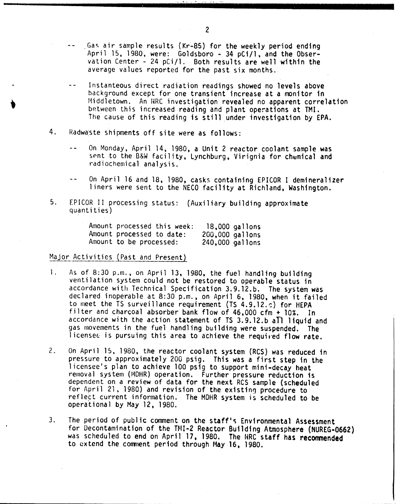Gas air sample results (Kr-85) for the weekly period ending April 15. 1980. were: Goldsboro - 34 pCi/l. and the Observation Center - 24 pCi/l. Both results are well within the average values reported for the past six months.

',- ':, ~, , ~, , '.' \_ "'. ,":, '. ~ ..•• ,.',',?

- Instanteous direct radiation readings showed no levels above background except for one transient increase at a monitor in Middletown. An HRC investigation revealed no apparent correlation between this increased reading and plant operations at TMI. The cause of this reading is still under investigation by EPA.
- 4. Radwaste shipments off site were as follows:
	- On Monday. April 14. 1980. a Unit 2 reactor coolant sample was  $$ sent to the B&W facility, Lynchburg, Virignia for chemical and radiochemical analysis.
	- $-$ On April 16 and 18, 1980, casks containing EPICOR I demineralizer liners were sent to the NECO facility at Richland, Washington.
- 5. EPICOR II processing status: (Auxiliary building approximate quantities)

| Amount processed this week: |                 | $18,000$ gallons |
|-----------------------------|-----------------|------------------|
| Amount processed to date:   | 200,000 gallons |                  |
| Amount to be processed:     | 240,000 gallons |                  |

# Major Activities (Past and Present)

- 1. As of 8:30 p.m., on April 13, 1980, the fuel handling building ventilation system could not be restored to operable status in accordance with Technical Specification 3.9.12.b. The system was declared inoperable at 8:30 p.m., on April 6. 1980, when it failed to meet the TS surveillance requirement (TS 4.9.12.c) for HEPA filter and charcoal absorber bank flow of 46,000 cfm + 10%. In accordance with the action statement of TS 3.9.12.b all liquid and gas movements in the fuel handling building were suspended. The licensee is pursuing this area to achieve the required flow rate.
- 2. On April 15. 1980. the reactor coolant system (RCS) was reduced in pressure to approximately 200 psig. This was a first step in the licensee's plan to achieve 100 psig to support mini-decay heat removal system (MDHR) operation. Further pressure reduction is dependent on a review of data for the next RCS sample (scheduled for April 21. 1980) and revision of the existing procedure to reflect current information. The MOHR system is scheduled to be operational by May 12, 1980.
- 3. The period of public comment on the staff's Environmental Assessment for Decontamination of the TNI-2 Reactor Building Atmosphere (NUREG-0662) was scheduled to end on April 17, 1980. The HRC staff has recommended to extend the comment period through May 16, 1980.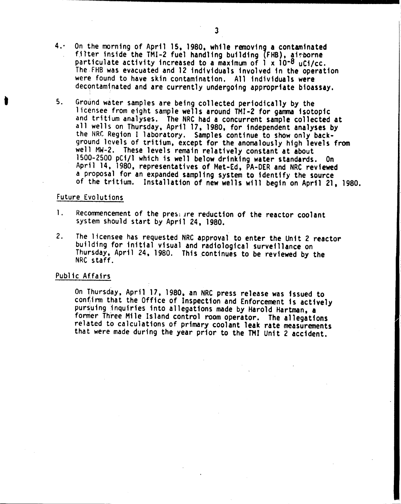- $4.$ On the morning of April 15, 1980, while removing a contaminated filter inside the TMI-2 fuel handling building (FHB), airborne particulate activity increased to a maximum of 1 x 10-8 *uCi/cc.* The FHB was evacuated and 12 individuals involved in the operation were found to have skin contamination. All individuals were decontaminated and are currently undergoing appropriate bioassay.
- 5. Ground water samples are being collected periodically by the licensee from eight sample wells around TMI-2 for gamma isotopic and tritium analyses. The NRC had a concurrent sample collected at all wells on Thursday, April 17, 1980, for independent analyses by the NRC Region I laboratory. Samples continue to show only background levels of tritium, except for the anomalously high levels from well MW-2. These levels remain relatively constant at about 1500-2500 pCi/l which is well below drinking water standards. On April 14, 1980, representatives of Met-Ed, PA-DER and NRC reviewed a proposal for an expanded sampling system to identify the source of the tritium. Installation of new wells will begin on April 21, 1980.

#### Future Evolutions

•

- 1. Recommencement of the preseure reduction of the reactor coolant system should start by April 24, 1980.
- 2. The licensee has requested NRC approval to enter the Unit 2 reactor building for initial visual and radiological surveillance on Thursday, April 24, 1980. This continues to be reviewed by the NRC staff.

# Public Affairs

On Thursday, April 17, 1980, an NRC press release was issued to confirm that the Office of Inspection and Enforcement is actively pursuing inquiries into allegations made by Harold Hartman, a former Three Mile Island control room operator. The allegations related to calculations of primary coolant leak rate measurements that were made during the year prior to the TMI Unit 2 accident.

I.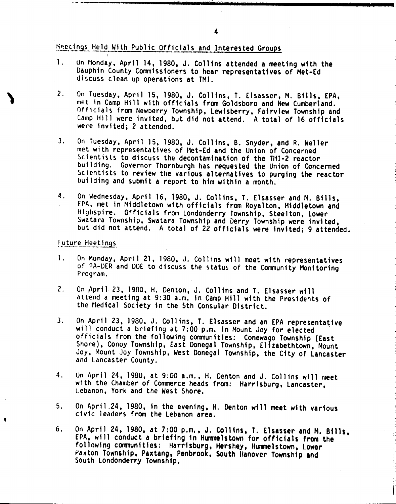theetings. Held With Public Officials and Interested Groups.

- 1. Un Monday, April 14, 1980, J. Collins attended a meeting with the Dauphin County Commissioners to hear representatives of Met-Ed discuss clean up operations at TMI.
- 2. On Tuesday, April 15, 1980, J. Collins, T. Elsasser, M. Bills, EPA, met in Camp Hill with officials from Goldsboro and New Cumberland. Officials from Newberry Township, Lewisberry, Fairview Township and Camp Hill were invited, but did not attend. A total of 16 officials were invited; 2 attended.
- 3. On Tuesday, April 15, 1980, J. Collins, B. Snyder, and R. Weller met with representatives of 11et-Ed and the Union of Concerned Scientists to discuss the decontamination of the TH1-2 reactor building. Governor Thornburgh has requested the Union of Concerned Scientists to review the various alternatives to purging the reactor building and submit a report to him within a month.
- 4. On Wednesday, April 16, 1980, J. Collins, T. Elsasser and M. Bills, EPA, met in Middletown with officials from Royalton, Middletown and Highspire. Officials from Londonderry Township, Steelton, Lower Swatara Township, Swatara Township and Derry Township were invited, but did not attend. A total of 22 officials were invited; 9 attended.

### Future Meetings

,

- 1. On Monday, April 21, 1980, J. Collins will meet with representatives of PA-DER and DOE to discuss the status of the Community Monitoring Program.
- 2. On April 23, 1980, H. Denton, J. Collins and T. Elsasser will attend a meeting at 9:30 a.m. in Camp Hill with the Presidents of the Medical Society in the 5th Consular District.
- 3. On April 23, 1980, J. Collins, T. Elsasser and an EPA representative will conduct a briefing at 7:00 p.m. in Mount Joy for elected officials from the following communities: Conewago Township (East Shore), Conoy Township, East Donegal Township, Elizabethtown, Mount Joy, Mount Joy Township, West Donegal Township, the City of Lancaster and Lancaster County.
- 4. On April 24. 198U, at 9:00 a.m., H. Denton and J. Collins will meet with the Chamber of Conmerce heads from: Harrisburg, Lancaster, Lebanon, York and the West Shore.
- 5. On April ,24, 1980, in the evening, H. Denton will meet with various civic leaders from the lebanon area.
- 6. On April 24, 1980, at 7:00 p.m., J. Collins, T. Elsasser and H. Bills, EPA, will conduct a briefing in Hummelstown for officials from the following communities: Harrisburg, Hershey, Hummelstown, lower Paxton Township, Paxtang, Penbrook, South Hanover Township and South Londonderry Township. .